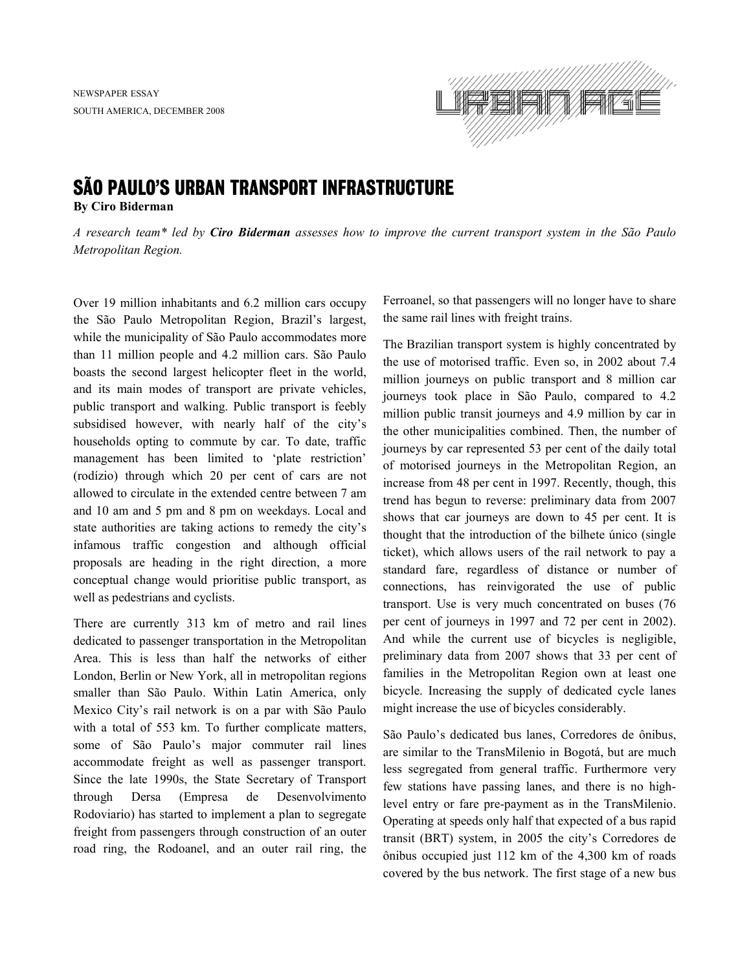

## SÃO PAULO'S URBAN TRANSPORT INFRASTRUCTURE

**By Ciro Biderman** 

*A research team\* led by Ciro Biderman assesses how to improve the current transport system in the São Paulo Metropolitan Region.* 

Over 19 million inhabitants and 6.2 million cars occupy the São Paulo Metropolitan Region, Brazil's largest, while the municipality of São Paulo accommodates more than 11 million people and 4.2 million cars. São Paulo boasts the second largest helicopter fleet in the world, and its main modes of transport are private vehicles, public transport and walking. Public transport is feebly subsidised however, with nearly half of the city's households opting to commute by car. To date, traffic management has been limited to 'plate restriction' (rodízio) through which 20 per cent of cars are not allowed to circulate in the extended centre between 7 am and 10 am and 5 pm and 8 pm on weekdays. Local and state authorities are taking actions to remedy the city's infamous traffic congestion and although official proposals are heading in the right direction, a more conceptual change would prioritise public transport, as well as pedestrians and cyclists.

There are currently 313 km of metro and rail lines dedicated to passenger transportation in the Metropolitan Area. This is less than half the networks of either London, Berlin or New York, all in metropolitan regions smaller than São Paulo. Within Latin America, only Mexico City's rail network is on a par with São Paulo with a total of 553 km. To further complicate matters, some of São Paulo's major commuter rail lines accommodate freight as well as passenger transport. Since the late 1990s, the State Secretary of Transport through Dersa (Empresa de Desenvolvimento Rodoviario) has started to implement a plan to segregate freight from passengers through construction of an outer road ring, the Rodoanel, and an outer rail ring, the Ferroanel, so that passengers will no longer have to share the same rail lines with freight trains.

The Brazilian transport system is highly concentrated by the use of motorised traffic. Even so, in 2002 about 7.4 million journeys on public transport and 8 million car journeys took place in São Paulo, compared to 4.2 million public transit journeys and 4.9 million by car in the other municipalities combined. Then, the number of journeys by car represented 53 per cent of the daily total of motorised journeys in the Metropolitan Region, an increase from 48 per cent in 1997. Recently, though, this trend has begun to reverse: preliminary data from 2007 shows that car journeys are down to 45 per cent. It is thought that the introduction of the bilhete único (single ticket), which allows users of the rail network to pay a standard fare, regardless of distance or number of connections, has reinvigorated the use of public transport. Use is very much concentrated on buses (76 per cent of journeys in 1997 and 72 per cent in 2002). And while the current use of bicycles is negligible, preliminary data from 2007 shows that 33 per cent of families in the Metropolitan Region own at least one bicycle. Increasing the supply of dedicated cycle lanes might increase the use of bicycles considerably.

São Paulo's dedicated bus lanes, Corredores de ônibus, are similar to the TransMilenio in Bogotá, but are much less segregated from general traffic. Furthermore very few stations have passing lanes, and there is no highlevel entry or fare pre-payment as in the TransMilenio. Operating at speeds only half that expected of a bus rapid transit (BRT) system, in 2005 the city's Corredores de ônibus occupied just 112 km of the 4,300 km of roads covered by the bus network. The first stage of a new bus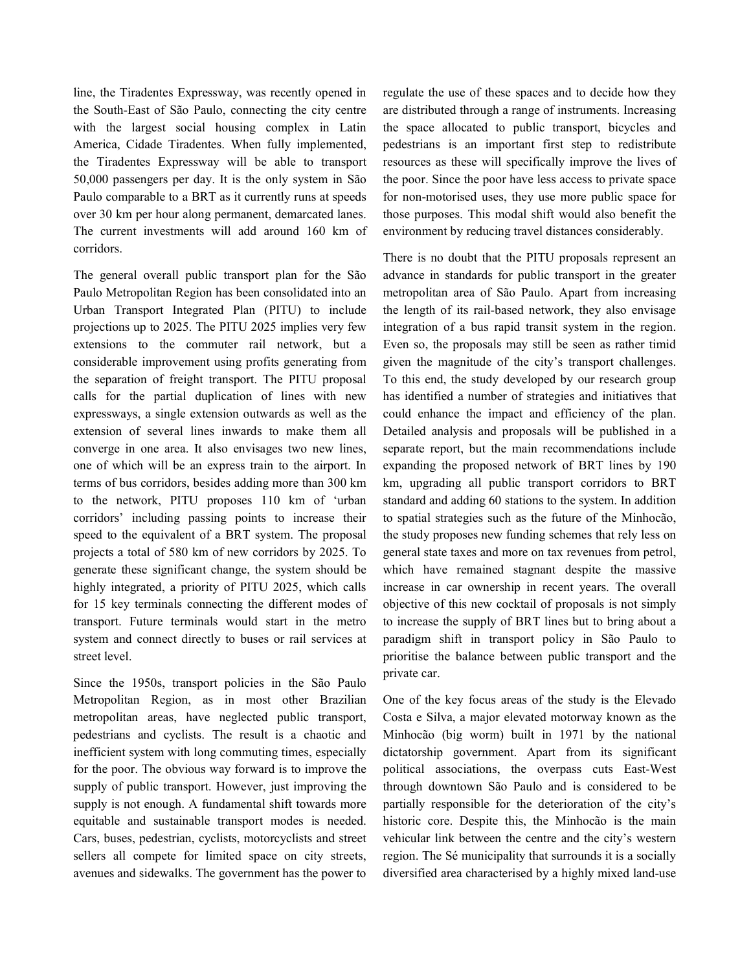line, the Tiradentes Expressway, was recently opened in the South-East of São Paulo, connecting the city centre with the largest social housing complex in Latin America, Cidade Tiradentes. When fully implemented, the Tiradentes Expressway will be able to transport 50,000 passengers per day. It is the only system in São Paulo comparable to a BRT as it currently runs at speeds over 30 km per hour along permanent, demarcated lanes. The current investments will add around 160 km of corridors.

The general overall public transport plan for the São Paulo Metropolitan Region has been consolidated into an Urban Transport Integrated Plan (PITU) to include projections up to 2025. The PITU 2025 implies very few extensions to the commuter rail network, but a considerable improvement using profits generating from the separation of freight transport. The PITU proposal calls for the partial duplication of lines with new expressways, a single extension outwards as well as the extension of several lines inwards to make them all converge in one area. It also envisages two new lines, one of which will be an express train to the airport. In terms of bus corridors, besides adding more than 300 km to the network, PITU proposes 110 km of 'urban corridors' including passing points to increase their speed to the equivalent of a BRT system. The proposal projects a total of 580 km of new corridors by 2025. To generate these significant change, the system should be highly integrated, a priority of PITU 2025, which calls for 15 key terminals connecting the different modes of transport. Future terminals would start in the metro system and connect directly to buses or rail services at street level.

Since the 1950s, transport policies in the São Paulo Metropolitan Region, as in most other Brazilian metropolitan areas, have neglected public transport, pedestrians and cyclists. The result is a chaotic and inefficient system with long commuting times, especially for the poor. The obvious way forward is to improve the supply of public transport. However, just improving the supply is not enough. A fundamental shift towards more equitable and sustainable transport modes is needed. Cars, buses, pedestrian, cyclists, motorcyclists and street sellers all compete for limited space on city streets, avenues and sidewalks. The government has the power to regulate the use of these spaces and to decide how they are distributed through a range of instruments. Increasing the space allocated to public transport, bicycles and pedestrians is an important first step to redistribute resources as these will specifically improve the lives of the poor. Since the poor have less access to private space for non-motorised uses, they use more public space for those purposes. This modal shift would also benefit the environment by reducing travel distances considerably.

There is no doubt that the PITU proposals represent an advance in standards for public transport in the greater metropolitan area of São Paulo. Apart from increasing the length of its rail-based network, they also envisage integration of a bus rapid transit system in the region. Even so, the proposals may still be seen as rather timid given the magnitude of the city's transport challenges. To this end, the study developed by our research group has identified a number of strategies and initiatives that could enhance the impact and efficiency of the plan. Detailed analysis and proposals will be published in a separate report, but the main recommendations include expanding the proposed network of BRT lines by 190 km, upgrading all public transport corridors to BRT standard and adding 60 stations to the system. In addition to spatial strategies such as the future of the Minhocão, the study proposes new funding schemes that rely less on general state taxes and more on tax revenues from petrol, which have remained stagnant despite the massive increase in car ownership in recent years. The overall objective of this new cocktail of proposals is not simply to increase the supply of BRT lines but to bring about a paradigm shift in transport policy in São Paulo to prioritise the balance between public transport and the private car.

One of the key focus areas of the study is the Elevado Costa e Silva, a major elevated motorway known as the Minhocão (big worm) built in 1971 by the national dictatorship government. Apart from its significant political associations, the overpass cuts East-West through downtown São Paulo and is considered to be partially responsible for the deterioration of the city's historic core. Despite this, the Minhocão is the main vehicular link between the centre and the city's western region. The Sé municipality that surrounds it is a socially diversified area characterised by a highly mixed land-use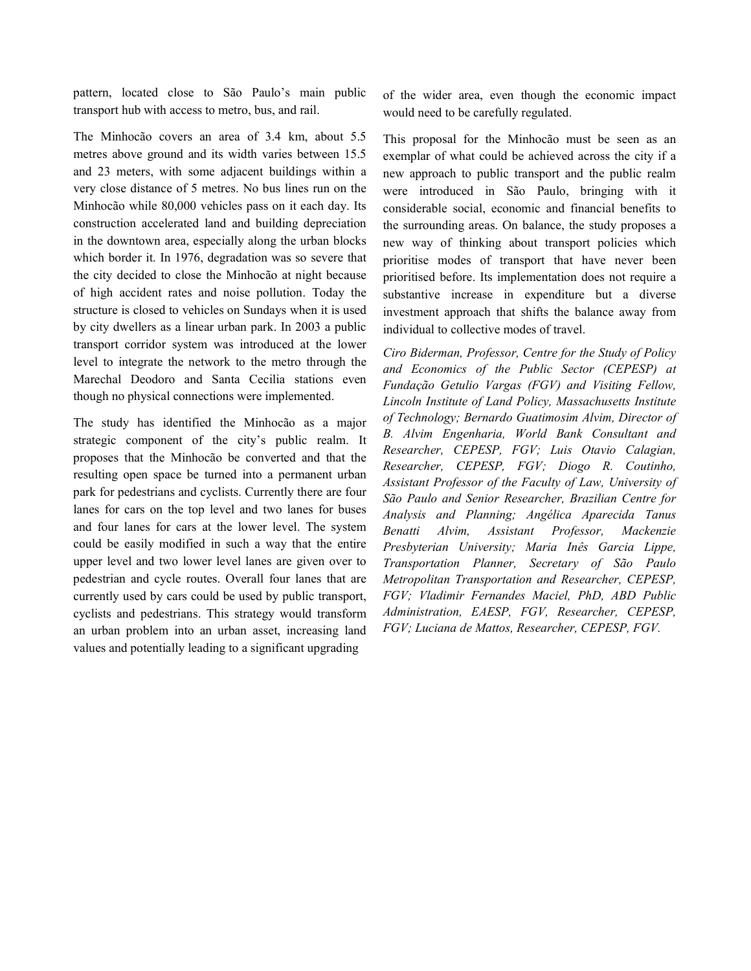pattern, located close to São Paulo's main public transport hub with access to metro, bus, and rail.

The Minhocão covers an area of 3.4 km, about 5.5 metres above ground and its width varies between 15.5 and 23 meters, with some adjacent buildings within a very close distance of 5 metres. No bus lines run on the Minhocão while 80,000 vehicles pass on it each day. Its construction accelerated land and building depreciation in the downtown area, especially along the urban blocks which border it. In 1976, degradation was so severe that the city decided to close the Minhocão at night because of high accident rates and noise pollution. Today the structure is closed to vehicles on Sundays when it is used by city dwellers as a linear urban park. In 2003 a public transport corridor system was introduced at the lower level to integrate the network to the metro through the Marechal Deodoro and Santa Cecilia stations even though no physical connections were implemented.

The study has identified the Minhocão as a major strategic component of the city's public realm. It proposes that the Minhocão be converted and that the resulting open space be turned into a permanent urban park for pedestrians and cyclists. Currently there are four lanes for cars on the top level and two lanes for buses and four lanes for cars at the lower level. The system could be easily modified in such a way that the entire upper level and two lower level lanes are given over to pedestrian and cycle routes. Overall four lanes that are currently used by cars could be used by public transport, cyclists and pedestrians. This strategy would transform an urban problem into an urban asset, increasing land values and potentially leading to a significant upgrading

of the wider area, even though the economic impact would need to be carefully regulated.

This proposal for the Minhocão must be seen as an exemplar of what could be achieved across the city if a new approach to public transport and the public realm were introduced in São Paulo, bringing with it considerable social, economic and financial benefits to the surrounding areas. On balance, the study proposes a new way of thinking about transport policies which prioritise modes of transport that have never been prioritised before. Its implementation does not require a substantive increase in expenditure but a diverse investment approach that shifts the balance away from individual to collective modes of travel.

*Ciro Biderman, Professor, Centre for the Study of Policy and Economics of the Public Sector (CEPESP) at Fundação Getulio Vargas (FGV) and Visiting Fellow, Lincoln Institute of Land Policy, Massachusetts Institute of Technology; Bernardo Guatimosim Alvim, Director of B. Alvim Engenharia, World Bank Consultant and Researcher, CEPESP, FGV; Luis Otavio Calagian, Researcher, CEPESP, FGV; Diogo R. Coutinho, Assistant Professor of the Faculty of Law, University of São Paulo and Senior Researcher, Brazilian Centre for Analysis and Planning; Angélica Aparecida Tanus Benatti Alvim, Assistant Professor, Mackenzie Presbyterian University; Maria Inês Garcia Lippe, Transportation Planner, Secretary of São Paulo Metropolitan Transportation and Researcher, CEPESP, FGV; Vladimir Fernandes Maciel, PhD, ABD Public Administration, EAESP, FGV, Researcher, CEPESP, FGV; Luciana de Mattos, Researcher, CEPESP, FGV.*